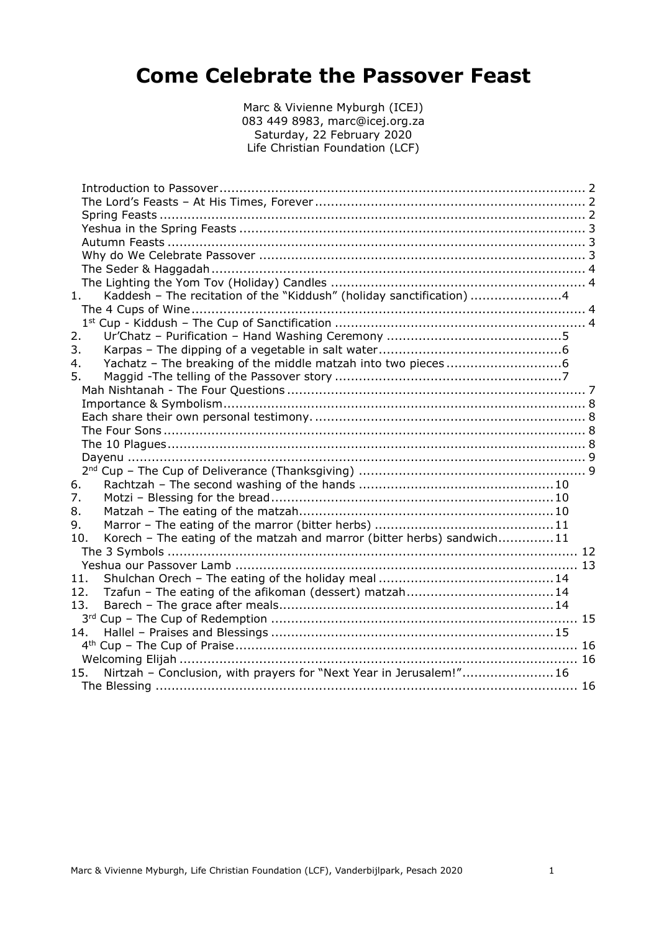# **Come Celebrate the Passover Feast**

Marc & Vivienne Myburgh (ICEJ) 083 449 8983, marc@icej.org.za Saturday, 22 February 2020 Life Christian Foundation (LCF)

| 1.  | Kaddesh - The recitation of the "Kiddush" (holiday sanctification) 4   |  |
|-----|------------------------------------------------------------------------|--|
|     |                                                                        |  |
|     |                                                                        |  |
| 2.  |                                                                        |  |
| 3.  |                                                                        |  |
| 4.  |                                                                        |  |
| 5.  |                                                                        |  |
|     |                                                                        |  |
|     |                                                                        |  |
|     |                                                                        |  |
|     |                                                                        |  |
|     |                                                                        |  |
|     |                                                                        |  |
|     |                                                                        |  |
| 6.  |                                                                        |  |
| 7.  |                                                                        |  |
| 8.  |                                                                        |  |
| 9.  |                                                                        |  |
| 10. | Korech - The eating of the matzah and marror (bitter herbs) sandwich11 |  |
|     |                                                                        |  |
|     |                                                                        |  |
| 11. |                                                                        |  |
| 12. |                                                                        |  |
| 13. |                                                                        |  |
|     |                                                                        |  |
| 14. |                                                                        |  |
|     |                                                                        |  |
|     |                                                                        |  |
| 15. | Nirtzah - Conclusion, with prayers for "Next Year in Jerusalem!" 16    |  |
|     |                                                                        |  |
|     |                                                                        |  |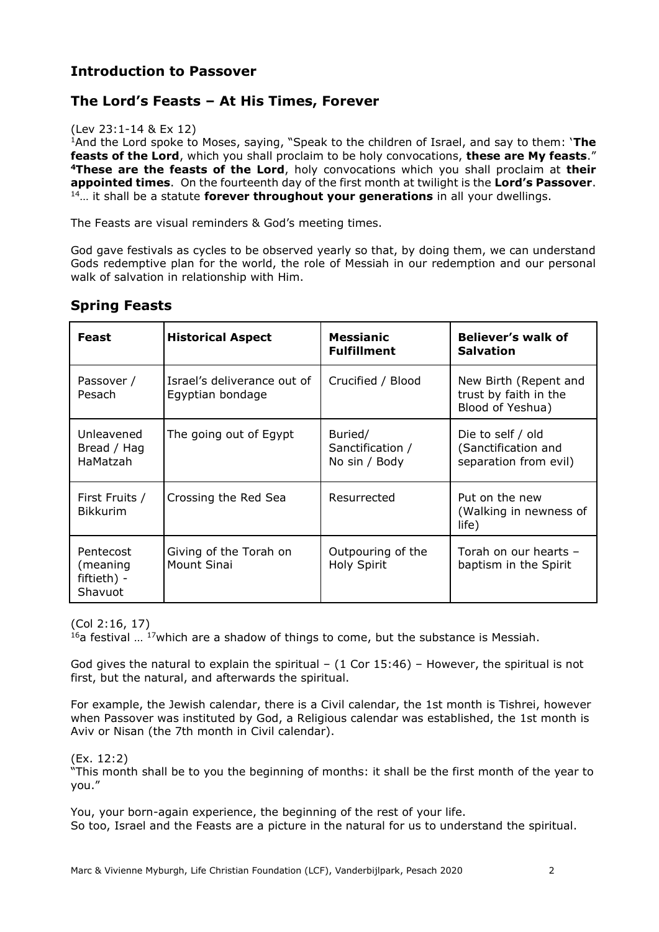## <span id="page-1-0"></span>**Introduction to Passover**

## <span id="page-1-1"></span>**The Lord's Feasts – At His Times, Forever**

#### (Lev 23:1-14 & Ex 12)

<sup>1</sup>And the Lord spoke to Moses, saying, "Speak to the children of Israel, and say to them: '**The feasts of the Lord**, which you shall proclaim to be holy convocations, **these are My feasts**." **<sup>4</sup>These are the feasts of the Lord**, holy convocations which you shall proclaim at **their appointed times**. On the fourteenth day of the first month at twilight is the **Lord's Passover**. <sup>14</sup>… it shall be a statute **forever throughout your generations** in all your dwellings.

The Feasts are visual reminders & God's meeting times.

God gave festivals as cycles to be observed yearly so that, by doing them, we can understand Gods redemptive plan for the world, the role of Messiah in our redemption and our personal walk of salvation in relationship with Him.

| Feast                                           | <b>Historical Aspect</b>                        | <b>Messianic</b><br><b>Fulfillment</b>       | <b>Believer's walk of</b><br><b>Salvation</b>                      |
|-------------------------------------------------|-------------------------------------------------|----------------------------------------------|--------------------------------------------------------------------|
| Passover /<br>Pesach                            | Israel's deliverance out of<br>Egyptian bondage | Crucified / Blood                            | New Birth (Repent and<br>trust by faith in the<br>Blood of Yeshua) |
| Unleavened<br>Bread / Hag<br>HaMatzah           | The going out of Egypt                          | Buried/<br>Sanctification /<br>No sin / Body | Die to self / old<br>(Sanctification and<br>separation from evil)  |
| First Fruits /<br><b>Bikkurim</b>               | Crossing the Red Sea                            | Resurrected                                  | Put on the new<br>(Walking in newness of<br>life)                  |
| Pentecost<br>(meaning<br>fiftieth) -<br>Shavuot | Giving of the Torah on<br>Mount Sinai           | Outpouring of the<br><b>Holy Spirit</b>      | Torah on our hearts -<br>baptism in the Spirit                     |

# <span id="page-1-2"></span>**Spring Feasts**

(Col 2:16, 17)

 $16a$  festival  $\ldots$  17 which are a shadow of things to come, but the substance is Messiah.

God gives the natural to explain the spiritual  $-$  (1 Cor 15:46) – However, the spiritual is not first, but the natural, and afterwards the spiritual.

For example, the Jewish calendar, there is a Civil calendar, the 1st month is Tishrei, however when Passover was instituted by God, a Religious calendar was established, the 1st month is Aviv or Nisan (the 7th month in Civil calendar).

(Ex. 12:2)

"This month shall be to you the beginning of months: it shall be the first month of the year to you."

You, your born-again experience, the beginning of the rest of your life. So too, Israel and the Feasts are a picture in the natural for us to understand the spiritual.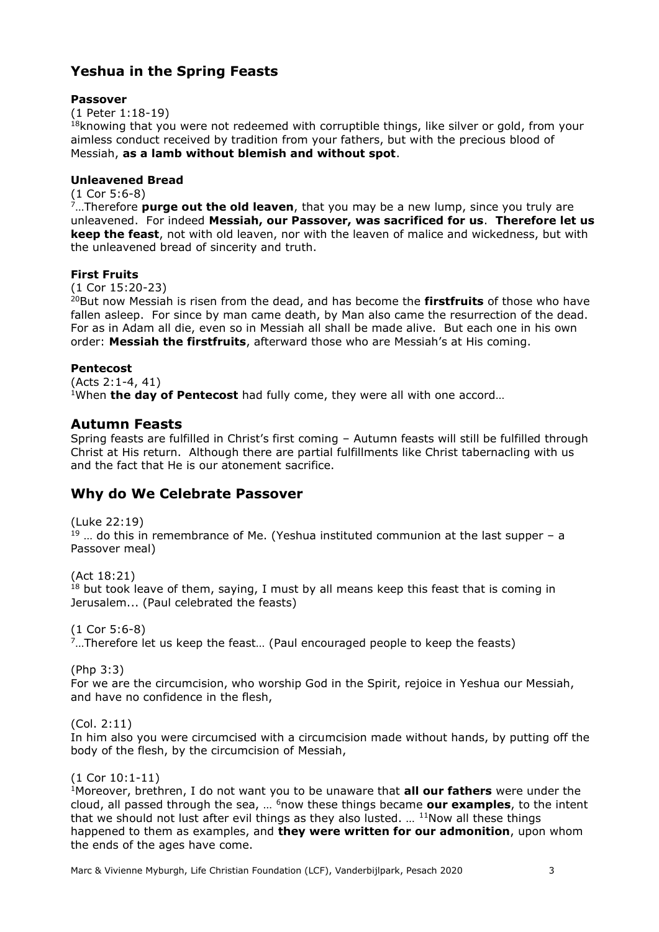# <span id="page-2-0"></span>**Yeshua in the Spring Feasts**

#### **Passover**

(1 Peter 1:18-19)

 $18$ knowing that you were not redeemed with corruptible things, like silver or gold, from your aimless conduct received by tradition from your fathers, but with the precious blood of Messiah, **as a lamb without blemish and without spot**.

#### **Unleavened Bread**

(1 Cor 5:6-8)

<sup>7</sup>…Therefore **purge out the old leaven**, that you may be a new lump, since you truly are unleavened. For indeed **Messiah, our Passover, was sacrificed for us**. **Therefore let us keep the feast**, not with old leaven, nor with the leaven of malice and wickedness, but with the unleavened bread of sincerity and truth.

#### **First Fruits**

(1 Cor 15:20-23)

<sup>20</sup>But now Messiah is risen from the dead, and has become the **firstfruits** of those who have fallen asleep. For since by man came death, by Man also came the resurrection of the dead. For as in Adam all die, even so in Messiah all shall be made alive. But each one in his own order: **Messiah the firstfruits**, afterward those who are Messiah's at His coming.

#### **Pentecost**

(Acts 2:1-4, 41) <sup>1</sup>When **the day of Pentecost** had fully come, they were all with one accord…

#### <span id="page-2-1"></span>**Autumn Feasts**

Spring feasts are fulfilled in Christ's first coming – Autumn feasts will still be fulfilled through Christ at His return. Although there are partial fulfillments like Christ tabernacling with us and the fact that He is our atonement sacrifice.

#### <span id="page-2-2"></span>**Why do We Celebrate Passover**

(Luke 22:19)  $19$  ... do this in remembrance of Me. (Yeshua instituted communion at the last supper – a Passover meal)

(Act 18:21)  $18$  but took leave of them, saying, I must by all means keep this feast that is coming in Jerusalem... (Paul celebrated the feasts)

(1 Cor 5:6-8) <sup>7</sup>…Therefore let us keep the feast… (Paul encouraged people to keep the feasts)

(Php 3:3)

For we are the circumcision, who worship God in the Spirit, rejoice in Yeshua our Messiah, and have no confidence in the flesh,

(Col. 2:11)

In him also you were circumcised with a circumcision made without hands, by putting off the body of the flesh, by the circumcision of Messiah,

(1 Cor 10:1-11)

<sup>1</sup>Moreover, brethren, I do not want you to be unaware that **all our fathers** were under the cloud, all passed through the sea, … <sup>6</sup>now these things became **our examples**, to the intent that we should not lust after evil things as they also lusted. ...  $11$ Now all these things happened to them as examples, and **they were written for our admonition**, upon whom the ends of the ages have come.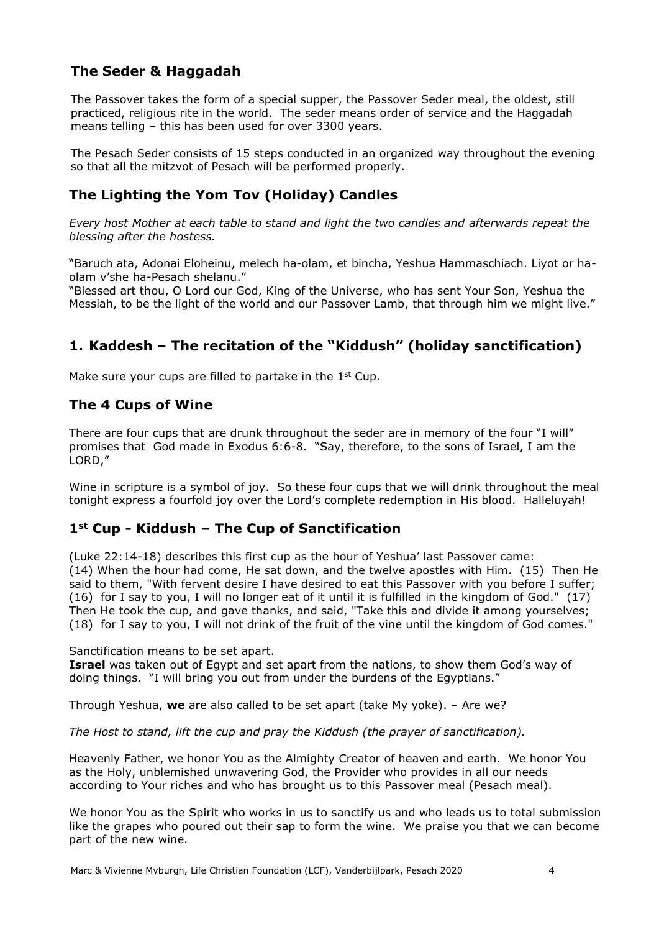# <span id="page-3-0"></span>**The Seder & Haggadah**

The Passover takes the form of a special supper, the Passover Seder meal, the oldest, still practiced, religious rite in the world. The seder means order of service and the Haggadah means telling – this has been used for over 3300 years.

The Pesach Seder consists of 15 steps conducted in an organized way throughout the evening so that all the mitzvot of Pesach will be performed properly.

# <span id="page-3-1"></span>**The Lighting the Yom Tov (Holiday) Candles**

*Every host Mother at each table to stand and light the two candles and afterwards repeat the blessing after the hostess.*

"Baruch ata, Adonai Eloheinu, melech ha-olam, et bincha, Yeshua Hammaschiach. Liyot or haolam v'she ha-Pesach shelanu."

"Blessed art thou, O Lord our God, King of the Universe, who has sent Your Son, Yeshua the Messiah, to be the light of the world and our Passover Lamb, that through him we might live."

# <span id="page-3-2"></span>**1. Kaddesh – The recitation of the "Kiddush" (holiday sanctification)**

Make sure your cups are filled to partake in the  $1<sup>st</sup>$  Cup.

#### <span id="page-3-3"></span>**The 4 Cups of Wine**

There are four cups that are drunk throughout the seder are in memory of the four "I will" promises that God made in Exodus 6:6-8. "Say, therefore, to the sons of Israel, I am the LORD,"

Wine in scripture is a symbol of joy. So these four cups that we will drink throughout the meal tonight express a fourfold joy over the Lord's complete redemption in His blood. Halleluyah!

#### <span id="page-3-4"></span>**1st Cup - Kiddush – The Cup of Sanctification**

(Luke 22:14-18) describes this first cup as the hour of Yeshua' last Passover came: (14) When the hour had come, He sat down, and the twelve apostles with Him. (15) Then He said to them, "With fervent desire I have desired to eat this Passover with you before I suffer; (16) for I say to you, I will no longer eat of it until it is fulfilled in the kingdom of God." (17) Then He took the cup, and gave thanks, and said, "Take this and divide it among yourselves; (18) for I say to you, I will not drink of the fruit of the vine until the kingdom of God comes."

Sanctification means to be set apart.

**Israel** was taken out of Egypt and set apart from the nations, to show them God's way of doing things. "I will bring you out from under the burdens of the Egyptians."

Through Yeshua, **we** are also called to be set apart (take My yoke). – Are we?

*The Host to stand, lift the cup and pray the Kiddush (the prayer of sanctification).*

Heavenly Father, we honor You as the Almighty Creator of heaven and earth. We honor You as the Holy, unblemished unwavering God, the Provider who provides in all our needs according to Your riches and who has brought us to this Passover meal (Pesach meal).

We honor You as the Spirit who works in us to sanctify us and who leads us to total submission like the grapes who poured out their sap to form the wine. We praise you that we can become part of the new wine.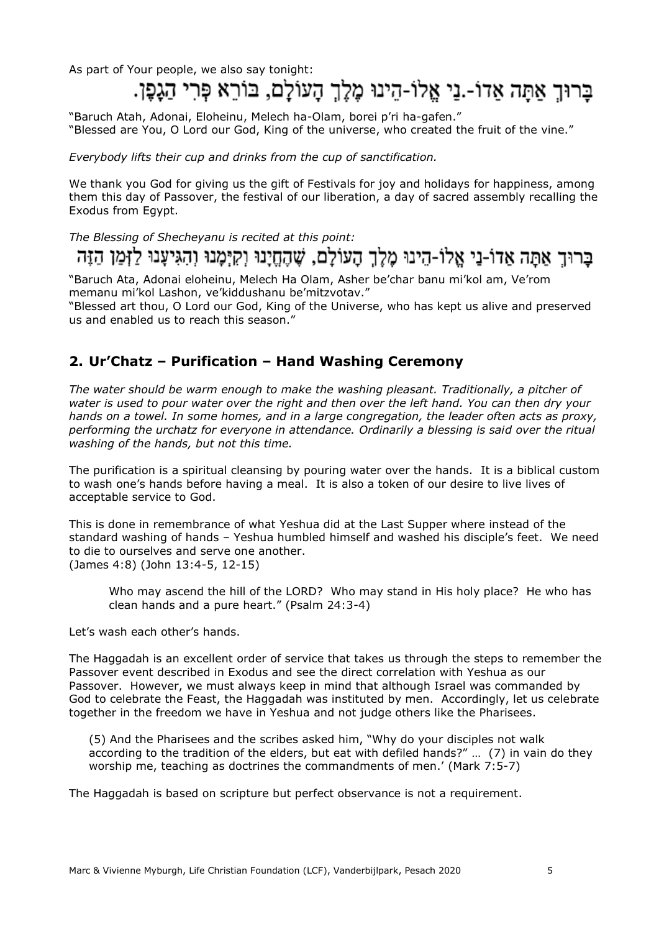# As part of Your people, we also say tonight:<br>בַּרוּךָ אַתַּה אַדוֹ-.נַי אֱלוֹ-הֵינוּ מֶלֶךְ הָעוֹלָם, בּוֹרֵא פְּרִי הַגָּפֶן.

"Baruch Atah, Adonai, Eloheinu, Melech ha-Olam, borei p'ri ha-gafen." "Blessed are You, O Lord our God, King of the universe, who created the fruit of the vine."

*Everybody lifts their cup and drinks from the cup of sanctification.*

We thank you God for giving us the gift of Festivals for joy and holidays for happiness, among them this day of Passover, the festival of our liberation, a day of sacred assembly recalling the Exodus from Egypt.

*The Blessing of Shecheyanu is recited at this point:*

ברוך אתה אדו-ני אלו-הינו מלך העולם, שהחינו וקימנו והגיענו לזמן הזה

"Baruch Ata, Adonai eloheinu, Melech Ha Olam, Asher be'char banu mi'kol am, Ve'rom memanu mi'kol Lashon, ve'kiddushanu be'mitzvotav."

"Blessed art thou, O Lord our God, King of the Universe, who has kept us alive and preserved us and enabled us to reach this season."

#### <span id="page-4-0"></span>**2. Ur'Chatz – Purification – Hand Washing Ceremony**

*The water should be warm enough to make the washing pleasant. Traditionally, a pitcher of water is used to pour water over the right and then over the left hand. You can then dry your hands on a towel. In some homes, and in a large congregation, the leader often acts as proxy, performing the urchatz for everyone in attendance. Ordinarily a blessing is said over the ritual washing of the hands, but not this time.*

The purification is a spiritual cleansing by pouring water over the hands. It is a biblical custom to wash one's hands before having a meal. It is also a token of our desire to live lives of acceptable service to God.

This is done in remembrance of what Yeshua did at the Last Supper where instead of the standard washing of hands – Yeshua humbled himself and washed his disciple's feet. We need to die to ourselves and serve one another. (James 4:8) (John 13:4-5, 12-15)

Who may ascend the hill of the LORD? Who may stand in His holy place? He who has clean hands and a pure heart." (Psalm 24:3-4)

Let's wash each other's hands.

The Haggadah is an excellent order of service that takes us through the steps to remember the Passover event described in Exodus and see the direct correlation with Yeshua as our Passover. However, we must always keep in mind that although Israel was commanded by God to celebrate the Feast, the Haggadah was instituted by men. Accordingly, let us celebrate together in the freedom we have in Yeshua and not judge others like the Pharisees.

(5) And the Pharisees and the scribes asked him, "Why do your disciples not walk according to the tradition of the elders, but eat with defiled hands?" … (7) in vain do they worship me, teaching as doctrines the commandments of men.' (Mark 7:5-7)

The Haggadah is based on scripture but perfect observance is not a requirement.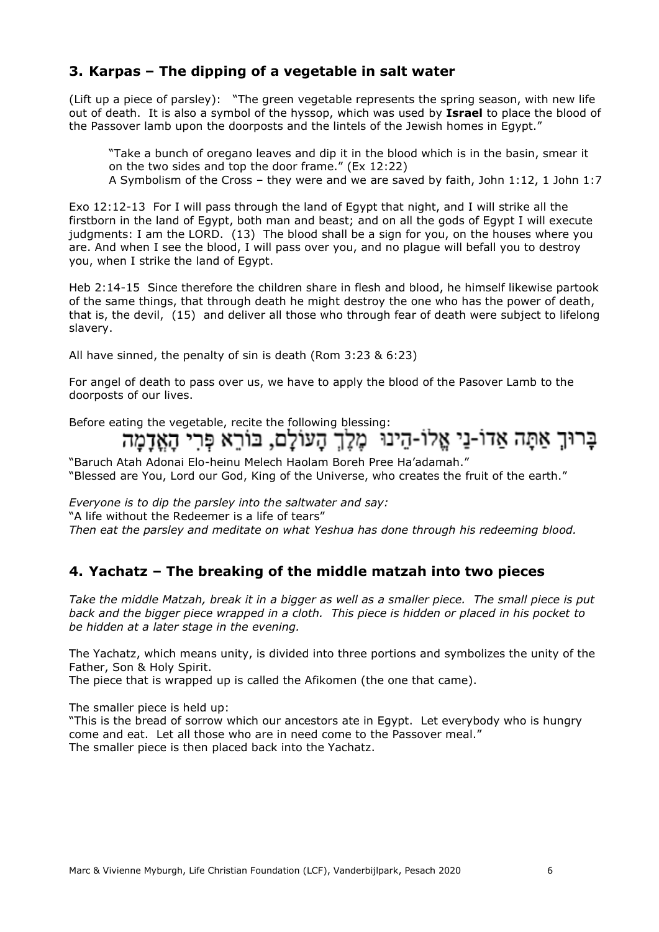## <span id="page-5-0"></span>**3. Karpas – The dipping of a vegetable in salt water**

(Lift up a piece of parsley): "The green vegetable represents the spring season, with new life out of death. It is also a symbol of the hyssop, which was used by **Israel** to place the blood of the Passover lamb upon the doorposts and the lintels of the Jewish homes in Egypt."

"Take a bunch of oregano leaves and dip it in the blood which is in the basin, smear it on the two sides and top the door frame." (Ex 12:22) A Symbolism of the Cross – they were and we are saved by faith, John 1:12, 1 John 1:7

Exo 12:12-13 For I will pass through the land of Egypt that night, and I will strike all the firstborn in the land of Egypt, both man and beast; and on all the gods of Egypt I will execute judgments: I am the LORD. (13) The blood shall be a sign for you, on the houses where you are. And when I see the blood, I will pass over you, and no plague will befall you to destroy you, when I strike the land of Egypt.

Heb 2:14-15 Since therefore the children share in flesh and blood, he himself likewise partook of the same things, that through death he might destroy the one who has the power of death, that is, the devil, (15) and deliver all those who through fear of death were subject to lifelong slavery.

All have sinned, the penalty of sin is death (Rom 3:23 & 6:23)

For angel of death to pass over us, we have to apply the blood of the Pasover Lamb to the doorposts of our lives.

# Before eating the vegetable, recite the following blessing:<br>בַּרוּךְ אַתָּה אַדוֹ-נַי אֱלוֹ-הֵינוּ מֶלֶךְ הַעוֹלֵם, בּוֹרֵא פְּרִי הַאֲדָמַה

"Baruch Atah Adonai Elo-heinu Melech Haolam Boreh Pree Ha'adamah." "Blessed are You, Lord our God, King of the Universe, who creates the fruit of the earth."

*Everyone is to dip the parsley into the saltwater and say:*

"A life without the Redeemer is a life of tears"

*Then eat the parsley and meditate on what Yeshua has done through his redeeming blood.*

#### <span id="page-5-1"></span>**4. Yachatz – The breaking of the middle matzah into two pieces**

*Take the middle Matzah, break it in a bigger as well as a smaller piece. The small piece is put back and the bigger piece wrapped in a cloth. This piece is hidden or placed in his pocket to be hidden at a later stage in the evening.*

The Yachatz, which means unity, is divided into three portions and symbolizes the unity of the Father, Son & Holy Spirit.

The piece that is wrapped up is called the Afikomen (the one that came).

The smaller piece is held up:

"This is the bread of sorrow which our ancestors ate in Egypt. Let everybody who is hungry come and eat. Let all those who are in need come to the Passover meal." The smaller piece is then placed back into the Yachatz.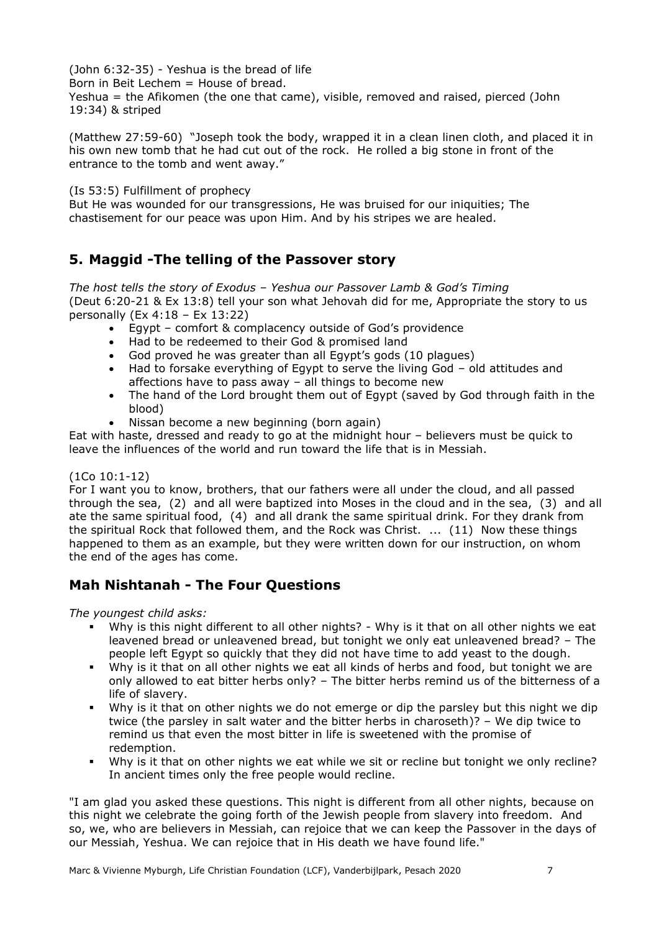(John 6:32-35) - Yeshua is the bread of life

Born in Beit Lechem = House of bread.

Yeshua = the Afikomen (the one that came), visible, removed and raised, pierced (John 19:34) & striped

(Matthew 27:59-60) "Joseph took the body, wrapped it in a clean linen cloth, and placed it in his own new tomb that he had cut out of the rock. He rolled a big stone in front of the entrance to the tomb and went away."

(Is 53:5) Fulfillment of prophecy

But He was wounded for our transgressions, He was bruised for our iniquities; The chastisement for our peace was upon Him. And by his stripes we are healed.

# <span id="page-6-0"></span>**5. Maggid -The telling of the Passover story**

*The host tells the story of Exodus – Yeshua our Passover Lamb & God's Timing* (Deut 6:20-21 & Ex 13:8) tell your son what Jehovah did for me, Appropriate the story to us personally (Ex 4:18 – Ex 13:22)

- Egypt comfort & complacency outside of God's providence
- Had to be redeemed to their God & promised land
- God proved he was greater than all Egypt's gods (10 plagues)
- Had to forsake everything of Egypt to serve the living God old attitudes and affections have to pass away – all things to become new
- The hand of the Lord brought them out of Egypt (saved by God through faith in the blood)
- Nissan become a new beginning (born again)

Eat with haste, dressed and ready to go at the midnight hour – believers must be quick to leave the influences of the world and run toward the life that is in Messiah.

#### (1Co 10:1-12)

For I want you to know, brothers, that our fathers were all under the cloud, and all passed through the sea, (2) and all were baptized into Moses in the cloud and in the sea, (3) and all ate the same spiritual food, (4) and all drank the same spiritual drink. For they drank from the spiritual Rock that followed them, and the Rock was Christ. ... (11) Now these things happened to them as an example, but they were written down for our instruction, on whom the end of the ages has come.

# <span id="page-6-1"></span>**Mah Nishtanah - The Four Questions**

*The youngest child asks:*

- Why is this night different to all other nights? Why is it that on all other nights we eat leavened bread or unleavened bread, but tonight we only eat unleavened bread? – The people left Egypt so quickly that they did not have time to add yeast to the dough.
- Why is it that on all other nights we eat all kinds of herbs and food, but tonight we are only allowed to eat bitter herbs only? – The bitter herbs remind us of the bitterness of a life of slavery.
- Why is it that on other nights we do not emerge or dip the parsley but this night we dip twice (the parsley in salt water and the bitter herbs in charoseth)? – We dip twice to remind us that even the most bitter in life is sweetened with the promise of redemption.
- Why is it that on other nights we eat while we sit or recline but tonight we only recline? In ancient times only the free people would recline.

"I am glad you asked these questions. This night is different from all other nights, because on this night we celebrate the going forth of the Jewish people from slavery into freedom. And so, we, who are believers in Messiah, can rejoice that we can keep the Passover in the days of our Messiah, Yeshua. We can rejoice that in His death we have found life."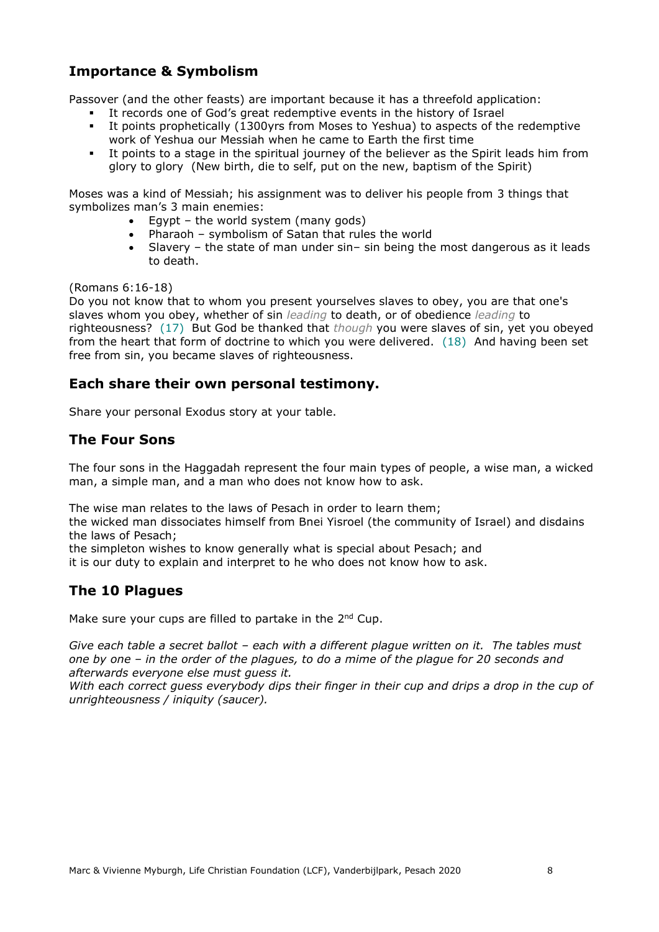# <span id="page-7-0"></span>**Importance & Symbolism**

Passover (and the other feasts) are important because it has a threefold application:

- It records one of God's great redemptive events in the history of Israel
- It points prophetically (1300yrs from Moses to Yeshua) to aspects of the redemptive work of Yeshua our Messiah when he came to Earth the first time
- It points to a stage in the spiritual journey of the believer as the Spirit leads him from glory to glory (New birth, die to self, put on the new, baptism of the Spirit)

Moses was a kind of Messiah; his assignment was to deliver his people from 3 things that symbolizes man's 3 main enemies:

- Egypt the world system (many gods)
- Pharaoh symbolism of Satan that rules the world
- Slavery the state of man under sin– sin being the most dangerous as it leads to death.

#### (Romans 6:16-18)

Do you not know that to whom you present yourselves slaves to obey, you are that one's slaves whom you obey, whether of sin *leading* to death, or of obedience *leading* to righteousness? (17) But God be thanked that *though* you were slaves of sin, yet you obeyed from the heart that form of doctrine to which you were delivered. (18) And having been set free from sin, you became slaves of righteousness.

#### <span id="page-7-1"></span>**Each share their own personal testimony.**

Share your personal Exodus story at your table.

#### <span id="page-7-2"></span>**The Four Sons**

The four sons in the Haggadah represent the four main types of people, a wise man, a wicked man, a simple man, and a man who does not know how to ask.

The wise man relates to the laws of Pesach in order to learn them;

the wicked man dissociates himself from Bnei Yisroel (the community of Israel) and disdains the laws of Pesach;

the simpleton wishes to know generally what is special about Pesach; and

it is our duty to explain and interpret to he who does not know how to ask.

#### <span id="page-7-3"></span>**The 10 Plagues**

Make sure your cups are filled to partake in the 2<sup>nd</sup> Cup.

*Give each table a secret ballot – each with a different plague written on it. The tables must one by one – in the order of the plagues, to do a mime of the plague for 20 seconds and afterwards everyone else must guess it.*

*With each correct guess everybody dips their finger in their cup and drips a drop in the cup of unrighteousness / iniquity (saucer).*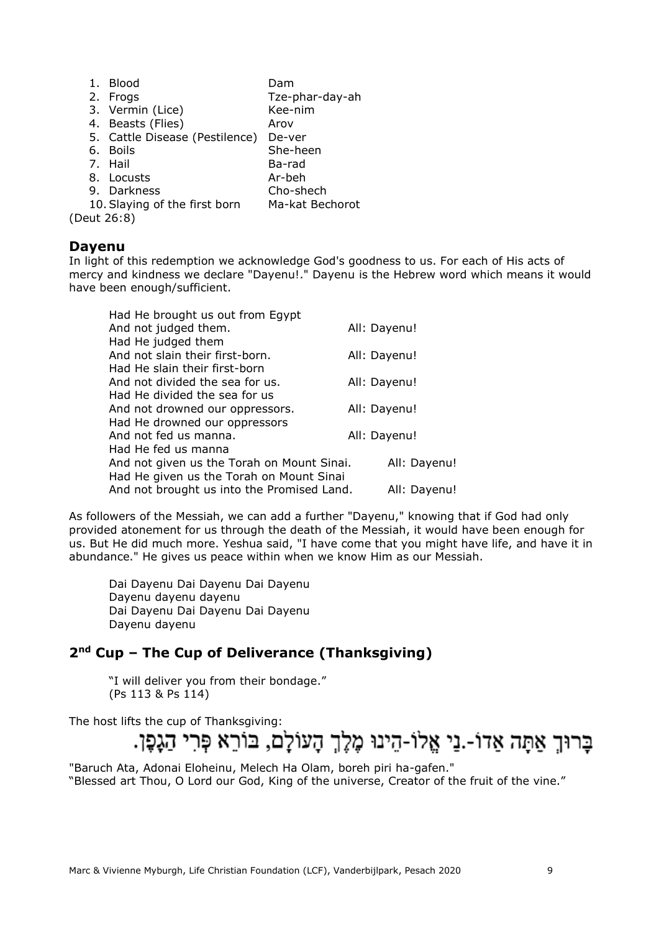| 1.          | Blood                          | Dam             |
|-------------|--------------------------------|-----------------|
|             | 2. Frogs                       | Tze-phar-day-ah |
|             | 3. Vermin (Lice)               | Kee-nim         |
|             | 4. Beasts (Flies)              | Arov            |
|             | 5. Cattle Disease (Pestilence) | De-ver          |
|             | 6. Boils                       | She-heen        |
|             | 7. Hail                        | Ba-rad          |
|             | 8. Locusts                     | Ar-beh          |
|             | 9. Darkness                    | Cho-shech       |
|             | 10. Slaying of the first born  | Ma-kat Bechorot |
| (Deut 26:8) |                                |                 |

#### <span id="page-8-0"></span>**Dayenu**

In light of this redemption we acknowledge God's goodness to us. For each of His acts of mercy and kindness we declare "Dayenu!." Dayenu is the Hebrew word which means it would have been enough/sufficient.

| Had He brought us out from Egypt           |              |
|--------------------------------------------|--------------|
| And not judged them.                       | All: Dayenu! |
| Had He judged them                         |              |
| And not slain their first-born.            | All: Dayenu! |
| Had He slain their first-born              |              |
| And not divided the sea for us.            | All: Dayenu! |
| Had He divided the sea for us              |              |
| And not drowned our oppressors.            | All: Dayenu! |
| Had He drowned our oppressors              |              |
| And not fed us manna.                      | All: Dayenu! |
| Had He fed us manna                        |              |
| And not given us the Torah on Mount Sinai. | All: Dayenu! |
| Had He given us the Torah on Mount Sinai   |              |
| And not brought us into the Promised Land. | All: Dayenu! |

As followers of the Messiah, we can add a further "Dayenu," knowing that if God had only provided atonement for us through the death of the Messiah, it would have been enough for us. But He did much more. Yeshua said, "I have come that you might have life, and have it in abundance." He gives us peace within when we know Him as our Messiah.

Dai Dayenu Dai Dayenu Dai Dayenu Dayenu dayenu dayenu Dai Dayenu Dai Dayenu Dai Dayenu Dayenu dayenu

# <span id="page-8-1"></span>**2nd Cup – The Cup of Deliverance (Thanksgiving)**

"I will deliver you from their bondage." (Ps 113 & Ps 114)

The host lifts the cup of Thanksgiving:

# בַרוּךְ אַתַּה אַדוֹ-.נַי אֱלוֹ-הֵינוּ מֶלֶךְ הָעוֹלַם, בּוֹרֵא פְּרִי הַגָּפֶן.

"Baruch Ata, Adonai Eloheinu, Melech Ha Olam, boreh piri ha-gafen." "Blessed art Thou, O Lord our God, King of the universe, Creator of the fruit of the vine."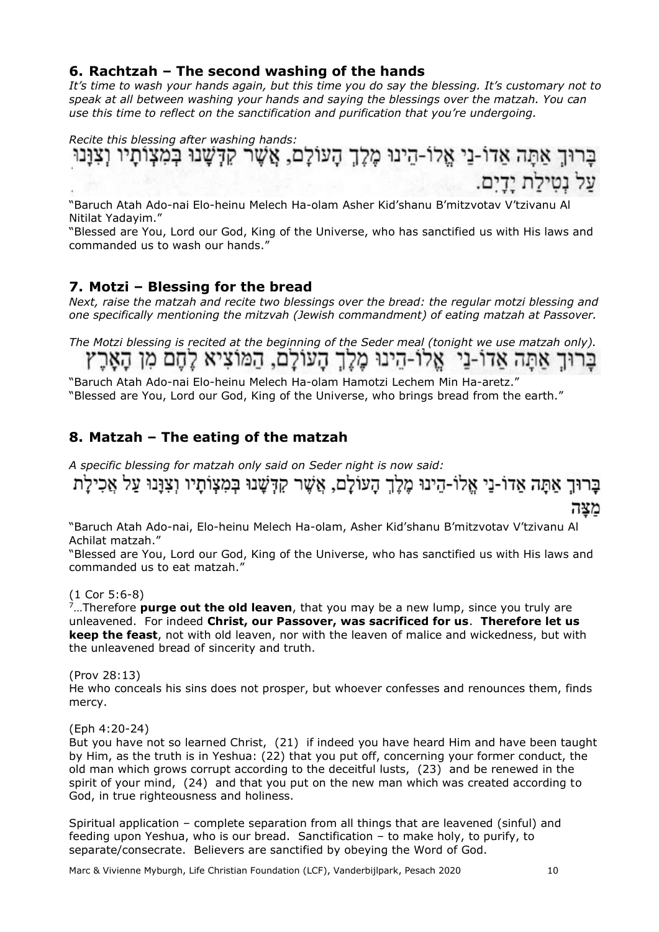#### <span id="page-9-0"></span>**6. Rachtzah – The second washing of the hands**

*It's time to wash your hands again, but this time you do say the blessing. It's customary not to speak at all between washing your hands and saying the blessings over the matzah. You can use this time to reflect on the sanctification and purification that you're undergoing.*

*Recite this blessing after washing hands:* על נטילת ידים.

"Baruch Atah Ado-nai Elo-heinu Melech Ha-olam Asher Kid'shanu B'mitzvotav V'tzivanu Al Nitilat Yadayim."

"Blessed are You, Lord our God, King of the Universe, who has sanctified us with His laws and commanded us to wash our hands."

## <span id="page-9-1"></span>**7. Motzi – Blessing for the bread**

*Next, raise the matzah and recite two blessings over the bread: the regular motzi blessing and one specifically mentioning the mitzvah (Jewish commandment) of eating matzah at Passover.*

*The Motzi blessing is recited at the beginning of the Seder meal (tonight we use matzah only).* ברוך אתה אדו-ני. אלו-הינו מלך העולם, המוציא לחם מן הארץ

"Baruch Atah Ado-nai Elo-heinu Melech Ha-olam Hamotzi Lechem Min Ha-aretz." "Blessed are You, Lord our God, King of the Universe, who brings bread from the earth."

# <span id="page-9-2"></span>**8. Matzah – The eating of the matzah**

*A specific blessing for matzah only said on Seder night is now said:*

בָרוּךְ אַתָּה אַדוֹ-נֵי אֱלוֹ-הֵינוּ מֶלֶךְ הָעוֹלָם, אֲשֶׁר קִדְּשָׁנוּ בְּמִצְוֹתָיו וְצִוָּנוּ עַל אֲכִילָת מצה

"Baruch Atah Ado-nai, Elo-heinu Melech Ha-olam, Asher Kid'shanu B'mitzvotav V'tzivanu Al Achilat matzah."

"Blessed are You, Lord our God, King of the Universe, who has sanctified us with His laws and commanded us to eat matzah."

(1 Cor 5:6-8)

<sup>7</sup>…Therefore **purge out the old leaven**, that you may be a new lump, since you truly are unleavened. For indeed **Christ, our Passover, was sacrificed for us**. **Therefore let us keep the feast**, not with old leaven, nor with the leaven of malice and wickedness, but with the unleavened bread of sincerity and truth.

(Prov 28:13)

He who conceals his sins does not prosper, but whoever confesses and renounces them, finds mercy.

(Eph 4:20-24)

But you have not so learned Christ, (21) if indeed you have heard Him and have been taught by Him, as the truth is in Yeshua: (22) that you put off, concerning your former conduct, the old man which grows corrupt according to the deceitful lusts, (23) and be renewed in the spirit of your mind, (24) and that you put on the new man which was created according to God, in true righteousness and holiness.

Spiritual application – complete separation from all things that are leavened (sinful) and feeding upon Yeshua, who is our bread. Sanctification – to make holy, to purify, to separate/consecrate. Believers are sanctified by obeying the Word of God.

Marc & Vivienne Myburgh, Life Christian Foundation (LCF), Vanderbijlpark, Pesach 2020 10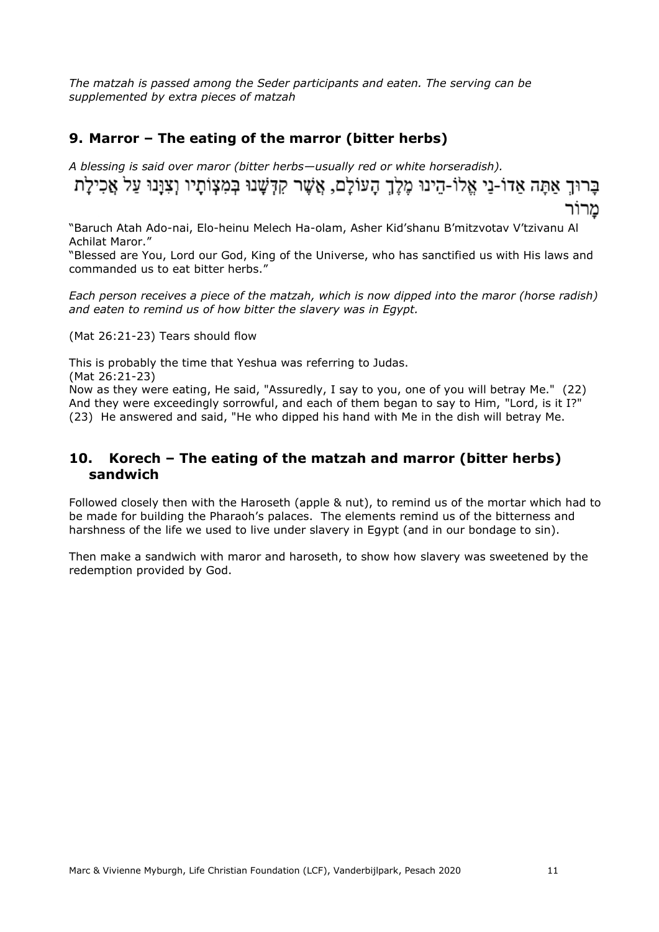*The matzah is passed among the Seder participants and eaten. The serving can be supplemented by extra pieces of matzah*

### <span id="page-10-0"></span>**9. Marror – The eating of the marror (bitter herbs)**

*A blessing is said over maror (bitter herbs—usually red or white horseradish).* בַרוּךְ אַתַּה אַדוֹ-נַי אֱלוֹ-הֵינוּ מֶלֵךְ הָעוֹלָם, אֲשֶׁר קִדְּשָׁנוּ בְּמִצְוֹתָיו וְצִוַּנוּ עַל אֲכִילָת מרור

"Baruch Atah Ado-nai, Elo-heinu Melech Ha-olam, Asher Kid'shanu B'mitzvotav V'tzivanu Al Achilat Maror."

"Blessed are You, Lord our God, King of the Universe, who has sanctified us with His laws and commanded us to eat bitter herbs."

*Each person receives a piece of the matzah, which is now dipped into the maror (horse radish) and eaten to remind us of how bitter the slavery was in Egypt.*

(Mat 26:21-23) Tears should flow

This is probably the time that Yeshua was referring to Judas.

(Mat 26:21-23)

Now as they were eating, He said, "Assuredly, I say to you, one of you will betray Me." (22) And they were exceedingly sorrowful, and each of them began to say to Him, "Lord, is it I?" (23) He answered and said, "He who dipped his hand with Me in the dish will betray Me.

#### <span id="page-10-1"></span>**10. Korech – The eating of the matzah and marror (bitter herbs) sandwich**

Followed closely then with the Haroseth (apple & nut), to remind us of the mortar which had to be made for building the Pharaoh's palaces. The elements remind us of the bitterness and harshness of the life we used to live under slavery in Egypt (and in our bondage to sin).

Then make a sandwich with maror and haroseth, to show how slavery was sweetened by the redemption provided by God.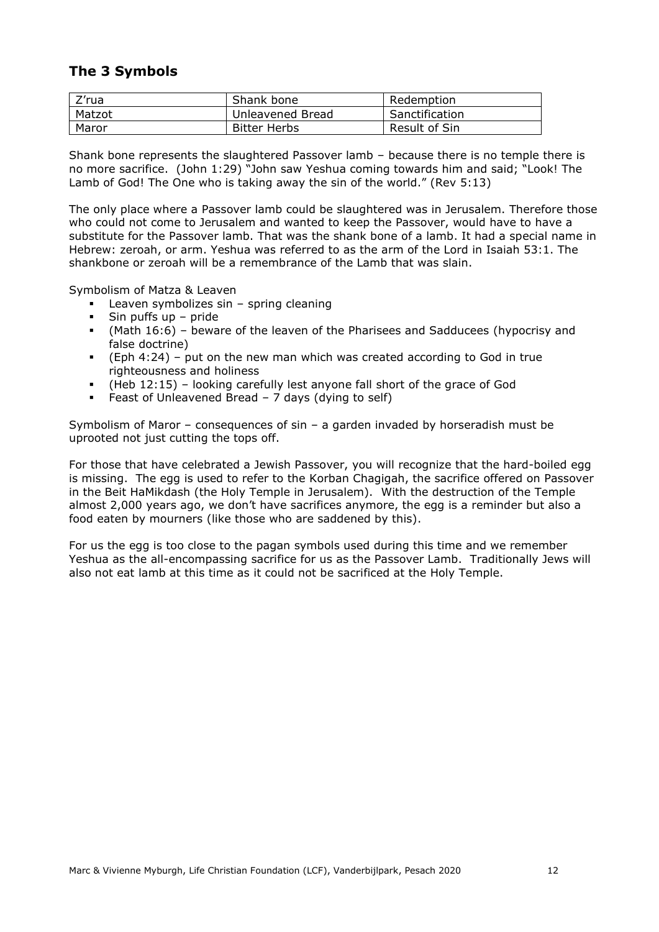## <span id="page-11-0"></span>**The 3 Symbols**

| Z'rua  | Shank bone       | Redemption     |
|--------|------------------|----------------|
| Matzot | Unleavened Bread | Sanctification |
| Maror  | Bitter Herbs     | Result of Sin  |

Shank bone represents the slaughtered Passover lamb – because there is no temple there is no more sacrifice. (John 1:29) "John saw Yeshua coming towards him and said; "Look! The Lamb of God! The One who is taking away the sin of the world." (Rev 5:13)

The only place where a Passover lamb could be slaughtered was in Jerusalem. Therefore those who could not come to Jerusalem and wanted to keep the Passover, would have to have a substitute for the Passover lamb. That was the shank bone of a lamb. It had a special name in Hebrew: zeroah, or arm. Yeshua was referred to as the arm of the Lord in Isaiah 53:1. The shankbone or zeroah will be a remembrance of the Lamb that was slain.

Symbolism of Matza & Leaven

- Leaven symbolizes sin  $-$  spring cleaning
- Sin puffs up  $-$  pride
- (Math 16:6) beware of the leaven of the Pharisees and Sadducees (hypocrisy and false doctrine)
- (Eph 4:24) put on the new man which was created according to God in true righteousness and holiness
- (Heb 12:15) looking carefully lest anyone fall short of the grace of God
- Feast of Unleavened Bread 7 days (dying to self)

Symbolism of Maror – consequences of sin – a garden invaded by horseradish must be uprooted not just cutting the tops off.

For those that have celebrated a Jewish Passover, you will recognize that the hard-boiled egg is missing. The egg is used to refer to the Korban Chagigah, the sacrifice offered on Passover in the Beit HaMikdash (the Holy Temple in Jerusalem). With the destruction of the Temple almost 2,000 years ago, we don't have sacrifices anymore, the egg is a reminder but also a food eaten by mourners (like those who are saddened by this).

For us the egg is too close to the pagan symbols used during this time and we remember Yeshua as the all-encompassing sacrifice for us as the Passover Lamb. Traditionally Jews will also not eat lamb at this time as it could not be sacrificed at the Holy Temple.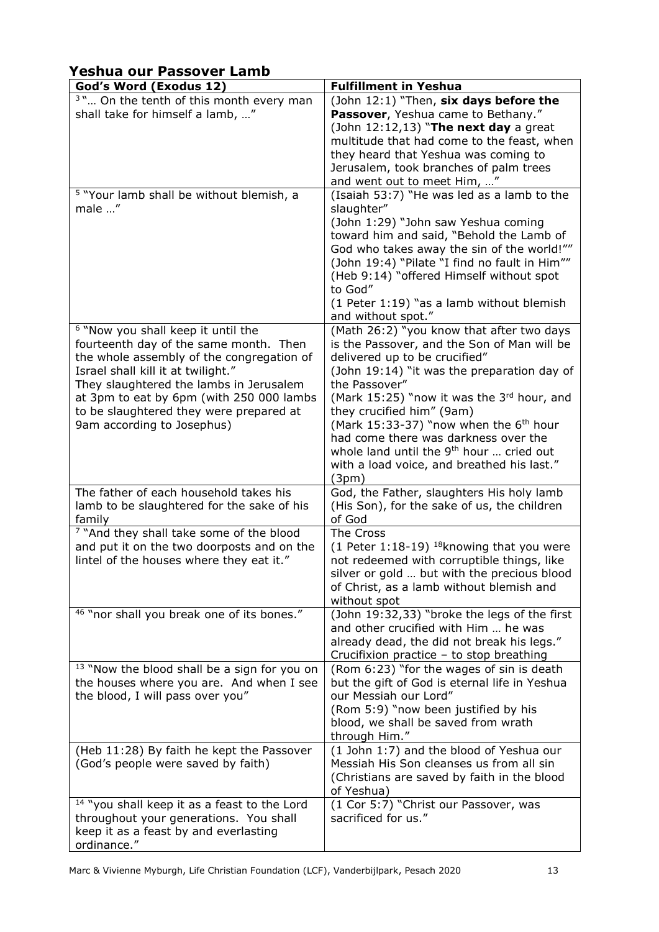# <span id="page-12-0"></span>**Yeshua our Passover Lamb**

| God's Word (Exodus 12)                                                                                                                                                                                                                                                                                                                     | <b>Fulfillment in Yeshua</b>                                                                                                                                                                                                                                                                                                                                                                                                                                            |
|--------------------------------------------------------------------------------------------------------------------------------------------------------------------------------------------------------------------------------------------------------------------------------------------------------------------------------------------|-------------------------------------------------------------------------------------------------------------------------------------------------------------------------------------------------------------------------------------------------------------------------------------------------------------------------------------------------------------------------------------------------------------------------------------------------------------------------|
| <sup>3</sup> " On the tenth of this month every man<br>shall take for himself a lamb, "                                                                                                                                                                                                                                                    | (John 12:1) "Then, six days before the<br>Passover, Yeshua came to Bethany."<br>(John $12:12,13$ ) "The next day a great<br>multitude that had come to the feast, when<br>they heard that Yeshua was coming to<br>Jerusalem, took branches of palm trees<br>and went out to meet Him, "                                                                                                                                                                                 |
| <sup>5</sup> "Your lamb shall be without blemish, a<br>male "                                                                                                                                                                                                                                                                              | (Isaiah 53:7) "He was led as a lamb to the<br>slaughter"<br>(John 1:29) "John saw Yeshua coming<br>toward him and said, "Behold the Lamb of<br>God who takes away the sin of the world!""<br>(John 19:4) "Pilate "I find no fault in Him""<br>(Heb 9:14) "offered Himself without spot<br>to God"<br>(1 Peter 1:19) "as a lamb without blemish<br>and without spot."                                                                                                    |
| <sup>6</sup> "Now you shall keep it until the<br>fourteenth day of the same month. Then<br>the whole assembly of the congregation of<br>Israel shall kill it at twilight."<br>They slaughtered the lambs in Jerusalem<br>at 3pm to eat by 6pm (with 250 000 lambs<br>to be slaughtered they were prepared at<br>9am according to Josephus) | (Math 26:2) "you know that after two days<br>is the Passover, and the Son of Man will be<br>delivered up to be crucified"<br>(John 19:14) "it was the preparation day of<br>the Passover"<br>(Mark 15:25) "now it was the 3rd hour, and<br>they crucified him" (9am)<br>(Mark 15:33-37) "now when the $6th$ hour<br>had come there was darkness over the<br>whole land until the 9 <sup>th</sup> hour  cried out<br>with a load voice, and breathed his last."<br>(3pm) |
| The father of each household takes his<br>lamb to be slaughtered for the sake of his<br>family                                                                                                                                                                                                                                             | God, the Father, slaughters His holy lamb<br>(His Son), for the sake of us, the children<br>of God                                                                                                                                                                                                                                                                                                                                                                      |
| <sup>7</sup> "And they shall take some of the blood<br>and put it on the two doorposts and on the<br>lintel of the houses where they eat it."                                                                                                                                                                                              | The Cross<br>(1 Peter 1:18-19) <sup>18</sup> knowing that you were<br>not redeemed with corruptible things, like<br>silver or gold  but with the precious blood<br>of Christ, as a lamb without blemish and<br>without spot                                                                                                                                                                                                                                             |
| <sup>46</sup> "nor shall you break one of its bones."                                                                                                                                                                                                                                                                                      | (John 19:32,33) "broke the legs of the first<br>and other crucified with Him  he was<br>already dead, the did not break his legs."<br>Crucifixion practice - to stop breathing                                                                                                                                                                                                                                                                                          |
| <sup>13</sup> "Now the blood shall be a sign for you on<br>the houses where you are. And when I see<br>the blood, I will pass over you"                                                                                                                                                                                                    | (Rom 6:23) "for the wages of sin is death<br>but the gift of God is eternal life in Yeshua<br>our Messiah our Lord"<br>(Rom 5:9) "now been justified by his<br>blood, we shall be saved from wrath<br>through Him."                                                                                                                                                                                                                                                     |
| (Heb 11:28) By faith he kept the Passover<br>(God's people were saved by faith)                                                                                                                                                                                                                                                            | (1 John 1:7) and the blood of Yeshua our<br>Messiah His Son cleanses us from all sin<br>(Christians are saved by faith in the blood<br>of Yeshua)                                                                                                                                                                                                                                                                                                                       |
| <sup>14</sup> "you shall keep it as a feast to the Lord<br>throughout your generations. You shall<br>keep it as a feast by and everlasting<br>ordinance."                                                                                                                                                                                  | (1 Cor 5:7) "Christ our Passover, was<br>sacrificed for us."                                                                                                                                                                                                                                                                                                                                                                                                            |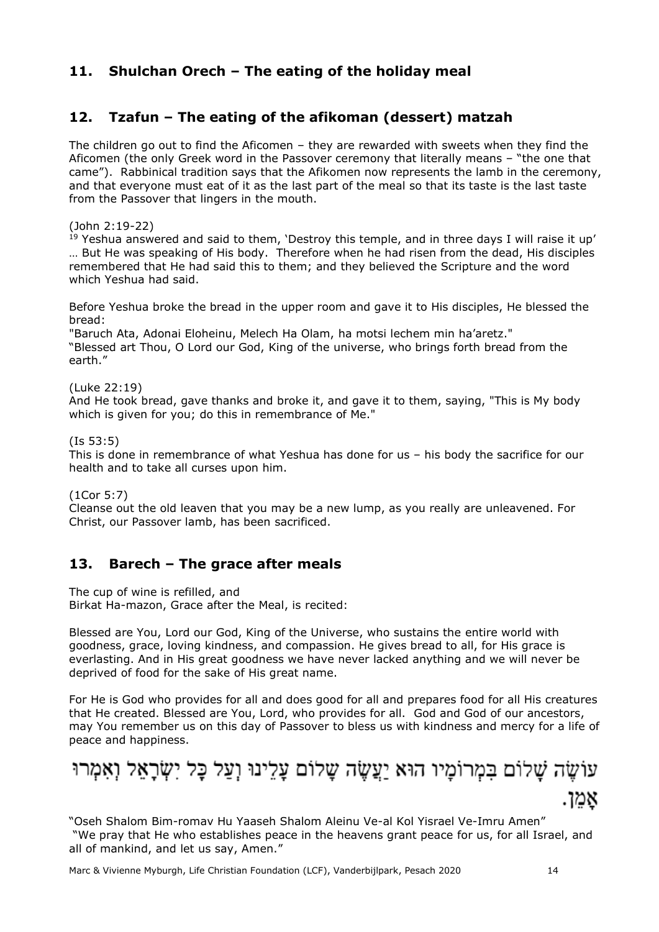# <span id="page-13-0"></span>**11. Shulchan Orech – The eating of the holiday meal**

# <span id="page-13-1"></span>**12. Tzafun – The eating of the afikoman (dessert) matzah**

The children go out to find the Aficomen – they are rewarded with sweets when they find the Aficomen (the only Greek word in the Passover ceremony that literally means – "the one that came"). Rabbinical tradition says that the Afikomen now represents the lamb in the ceremony, and that everyone must eat of it as the last part of the meal so that its taste is the last taste from the Passover that lingers in the mouth.

(John 2:19-22)

<sup>19</sup> Yeshua answered and said to them, 'Destroy this temple, and in three days I will raise it up' … But He was speaking of His body. Therefore when he had risen from the dead, His disciples remembered that He had said this to them; and they believed the Scripture and the word which Yeshua had said.

Before Yeshua broke the bread in the upper room and gave it to His disciples, He blessed the bread:

"Baruch Ata, Adonai Eloheinu, Melech Ha Olam, ha motsi lechem min ha'aretz." "Blessed art Thou, O Lord our God, King of the universe, who brings forth bread from the earth."

(Luke 22:19)

And He took bread, gave thanks and broke it, and gave it to them, saying, "This is My body which is given for you; do this in remembrance of Me."

(Is 53:5)

This is done in remembrance of what Yeshua has done for us – his body the sacrifice for our health and to take all curses upon him.

(1Cor 5:7)

Cleanse out the old leaven that you may be a new lump, as you really are unleavened. For Christ, our Passover lamb, has been sacrificed.

#### <span id="page-13-2"></span>**13. Barech – The grace after meals**

The cup of wine is refilled, and

Birkat Ha-mazon, Grace after the Meal, is recited:

Blessed are You, Lord our God, King of the Universe, who sustains the entire world with goodness, grace, loving kindness, and compassion. He gives bread to all, for His grace is everlasting. And in His great goodness we have never lacked anything and we will never be deprived of food for the sake of His great name.

For He is God who provides for all and does good for all and prepares food for all His creatures that He created. Blessed are You, Lord, who provides for all. God and God of our ancestors, may You remember us on this day of Passover to bless us with kindness and mercy for a life of peace and happiness.

ענּשֶּדּ, שַלום בְמָרּנִיָו האַ נַצִשֶּדָה שַלום עַּנִצִּרִדָ
$$
q
$$
ְאַמָרְרּ וְּדָאַל וְאָמָרּרּיּּ $q$ ְאַמָרְרִּיָ $q$ ָאָמָדָּדָ.

"Oseh Shalom Bim-romav Hu Yaaseh Shalom Aleinu Ve-al Kol Yisrael Ve-Imru Amen" "We pray that He who establishes peace in the heavens grant peace for us, for all Israel, and all of mankind, and let us say, Amen."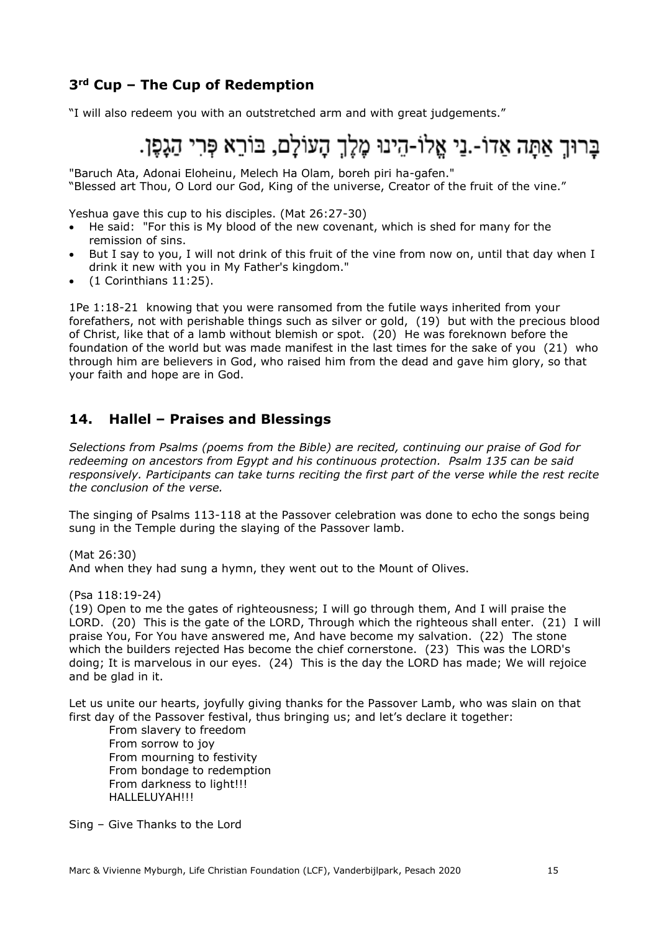# <span id="page-14-0"></span>**3rd Cup – The Cup of Redemption**

"I will also redeem you with an outstretched arm and with great judgements."

# ברוך אתה אדו-.ני אלו-הינו מלך העולם, בורא פרי הגפו.

"Baruch Ata, Adonai Eloheinu, Melech Ha Olam, boreh piri ha-gafen."

"Blessed art Thou, O Lord our God, King of the universe, Creator of the fruit of the vine."

Yeshua gave this cup to his disciples. (Mat 26:27-30)

- He said: "For this is My blood of the new covenant, which is shed for many for the remission of sins.
- But I say to you, I will not drink of this fruit of the vine from now on, until that day when I drink it new with you in My Father's kingdom."
- (1 Corinthians 11:25).

1Pe 1:18-21 knowing that you were ransomed from the futile ways inherited from your forefathers, not with perishable things such as silver or gold, (19) but with the precious blood of Christ, like that of a lamb without blemish or spot. (20) He was foreknown before the foundation of the world but was made manifest in the last times for the sake of you (21) who through him are believers in God, who raised him from the dead and gave him glory, so that your faith and hope are in God.

#### <span id="page-14-1"></span>**14. Hallel – Praises and Blessings**

*Selections from Psalms (poems from the Bible) are recited, continuing our praise of God for redeeming on ancestors from Egypt and his continuous protection. Psalm 135 can be said responsively. Participants can take turns reciting the first part of the verse while the rest recite the conclusion of the verse.*

The singing of Psalms 113-118 at the Passover celebration was done to echo the songs being sung in the Temple during the slaying of the Passover lamb.

(Mat 26:30) And when they had sung a hymn, they went out to the Mount of Olives.

(Psa 118:19-24)

(19) Open to me the gates of righteousness; I will go through them, And I will praise the LORD. (20) This is the gate of the LORD, Through which the righteous shall enter. (21) I will praise You, For You have answered me, And have become my salvation. (22) The stone which the builders rejected Has become the chief cornerstone. (23) This was the LORD's doing; It is marvelous in our eyes. (24) This is the day the LORD has made; We will rejoice and be glad in it.

Let us unite our hearts, joyfully giving thanks for the Passover Lamb, who was slain on that first day of the Passover festival, thus bringing us; and let's declare it together:

From slavery to freedom From sorrow to joy From mourning to festivity From bondage to redemption From darkness to light!!! HALLELUYAH!!!

Sing – Give Thanks to the Lord